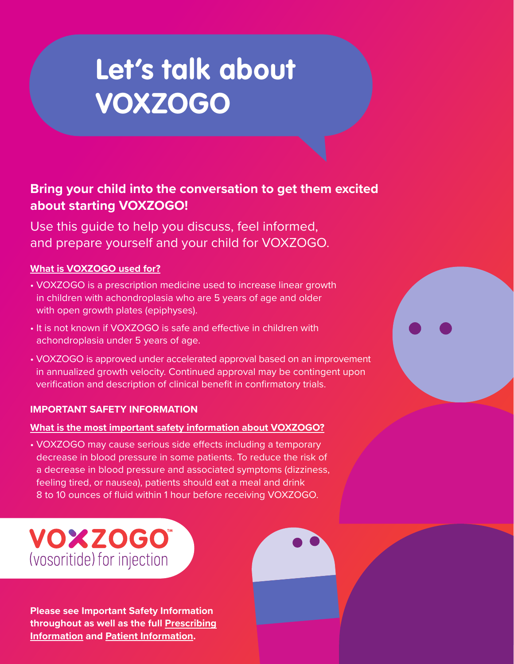# **Let's talk about VOXZOGO**

# **Bring your child into the conversation to get them excited about starting VOXZOGO!**

Use this guide to help you discuss, feel informed, and prepare yourself and your child for VOXZOGO.

# **What is VOXZOGO used for?**

- VOXZOGO is a prescription medicine used to increase linear growth in children with achondroplasia who are 5 years of age and older with open growth plates (epiphyses).
- It is not known if VOXZOGO is safe and effective in children with achondroplasia under 5 years of age.
- VOXZOGO is approved under accelerated approval based on an improvement in annualized growth velocity. Continued approval may be contingent upon verification and description of clinical benefit in confirmatory trials.

# **IMPORTANT SAFETY INFORMATION**

# **What is the most important safety information about VOXZOGO?**

• VOXZOGO may cause serious side effects including a temporary decrease in blood pressure in some patients. To reduce the risk of a decrease in blood pressure and associated symptoms (dizziness, feeling tired, or nausea), patients should eat a meal and drink 8 to 10 ounces of fluid within 1 hour before receiving VOXZOGO.

# **VOXZOGO** (vosoritide) for injection

**Please see Important Safety Information throughout as well as the full Prescribing Information and Patient Information.**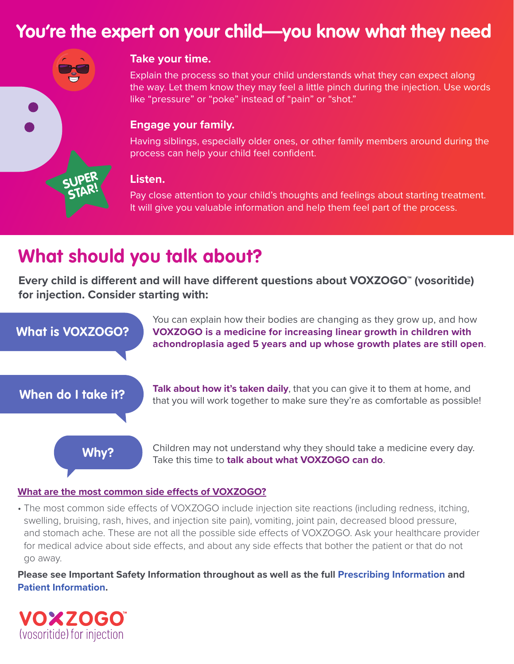# **You're the expert on your child—you know what they need**



# **Take your time.**

Explain the process so that your child understands what they can expect along the way. Let them know they may feel a little pinch during the injection. Use words like "pressure" or "poke" instead of "pain" or "shot."

### **Engage your family.**

Having siblings, especially older ones, or other family members around during the process can help your child feel confident.

### **Listen.**

Pay close attention to your child's thoughts and feelings about starting treatment. It will give you valuable information and help them feel part of the process.

# **What should you talk about?**

Every child is different and will have different questions about VOXZOGO<sup>"</sup> (vosoritide) **for injection. Consider starting with:**



### **What are the most common side effects of VOXZOGO?**

• The most common side effects of VOXZOGO include injection site reactions (including redness, itching, swelling, bruising, rash, hives, and injection site pain), vomiting, joint pain, decreased blood pressure, and stomach ache. These are not all the possible side effects of VOXZOGO. Ask your healthcare provider for medical advice about side effects, and about any side effects that bother the patient or that do not go away.

**Please see Important Safety Information throughout as well as the full Prescribing Information and Patient Information.** 

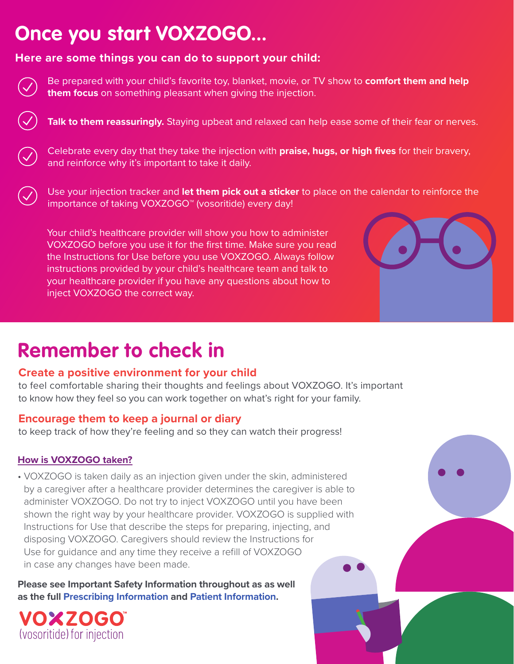# **Once you start VOXZOGO...**

# **Here are some things you can do to support your child:**

Be prepared with your child's favorite toy, blanket, movie, or TV show to **comfort them and help them focus** on something pleasant when giving the injection.

Talk to them reassuringly. Staying upbeat and relaxed can help ease some of their fear or nerves.

Celebrate every day that they take the injection with **praise, hugs, or high fives** for their bravery, and reinforce why it's important to take it daily.

Use your injection tracker and **let them pick out a sticker** to place on the calendar to reinforce the importance of taking VOXZOGO™ (vosoritide) every day!

Your child's healthcare provider will show you how to administer VOXZOGO before you use it for the first time. Make sure you read the Instructions for Use before you use VOXZOGO. Always follow instructions provided by your child's healthcare team and talk to your healthcare provider if you have any questions about how to inject VOXZOGO the correct way.

# **Remember to check in**

# **Create a positive environment for your child**

to feel comfortable sharing their thoughts and feelings about VOXZOGO. It's important to know how they feel so you can work together on what's right for your family.

# **Encourage them to keep a journal or diary**

to keep track of how they're feeling and so they can watch their progress!

# **How is VOXZOGO taken?**

• VOXZOGO is taken daily as an injection given under the skin, administered by a caregiver after a healthcare provider determines the caregiver is able to administer VOXZOGO. Do not try to inject VOXZOGO until you have been shown the right way by your healthcare provider. VOXZOGO is supplied with Instructions for Use that describe the steps for preparing, injecting, and disposing VOXZOGO. Caregivers should review the Instructions for Use for guidance and any time they receive a refill of VOXZOGO in case any changes have been made.

**Please see Important Safety Information throughout as as well as the full Prescribing Information and Patient Information.**